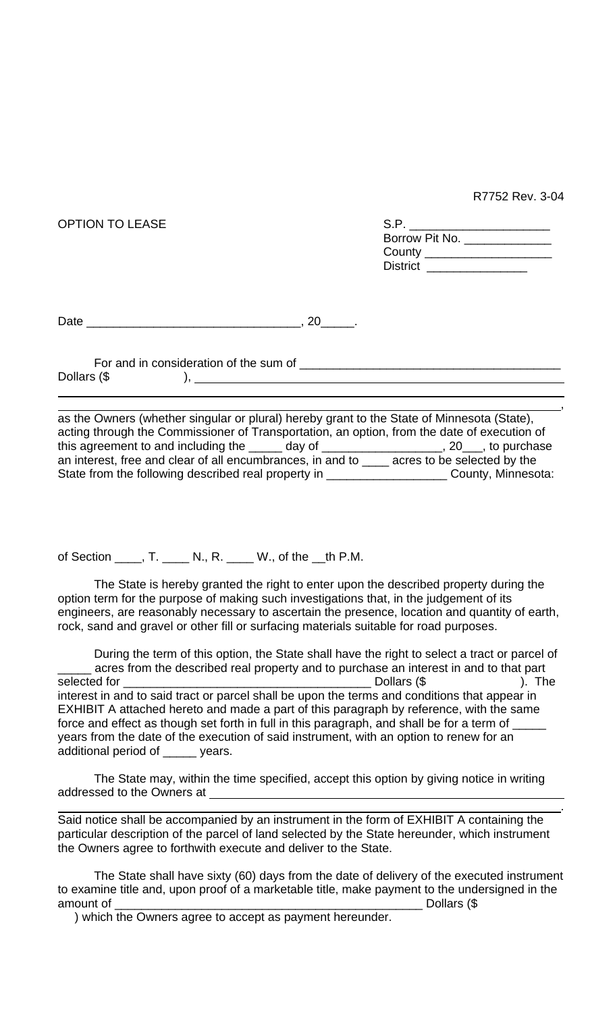R7752 Rev. 3-04

,

.

| <b>OPTION TO LEASE</b> | S.P. _______________________<br>Borrow Pit No. ______________ |                                                            |  |
|------------------------|---------------------------------------------------------------|------------------------------------------------------------|--|
|                        |                                                               | County ______________________<br>District ________________ |  |
| Date                   | 20                                                            |                                                            |  |

For and in consideration of the sum of \_\_\_\_\_\_\_\_\_\_\_\_\_\_\_\_\_\_\_\_\_\_\_\_\_\_\_\_\_\_\_\_\_\_\_\_\_\_\_ Dollars  $(\$$  ), \_

as the Owners (whether singular or plural) hereby grant to the State of Minnesota (State), acting through the Commissioner of Transportation, an option, from the date of execution of this agreement to and including the \_\_\_\_\_ day of \_\_\_\_\_\_\_\_\_\_\_\_\_\_\_\_\_\_, 20\_\_\_, to purchase an interest, free and clear of all encumbrances, in and to \_\_\_\_ acres to be selected by the State from the following described real property in \_\_\_\_\_\_\_\_\_\_\_\_\_\_\_\_\_\_\_\_\_\_\_County, Minnesota:

of Section \_\_\_\_, T. \_\_\_\_ N., R. \_\_\_\_ W., of the \_\_th P.M.

The State is hereby granted the right to enter upon the described property during the option term for the purpose of making such investigations that, in the judgement of its engineers, are reasonably necessary to ascertain the presence, location and quantity of earth, rock, sand and gravel or other fill or surfacing materials suitable for road purposes.

During the term of this option, the State shall have the right to select a tract or parcel of \_\_\_\_\_ acres from the described real property and to purchase an interest in and to that part selected for \_\_\_\_\_\_\_\_\_\_\_\_\_\_\_\_\_\_\_\_\_\_\_\_\_\_\_\_\_\_\_\_\_\_\_\_\_ Dollars (\$ ). The interest in and to said tract or parcel shall be upon the terms and conditions that appear in EXHIBIT A attached hereto and made a part of this paragraph by reference, with the same force and effect as though set forth in full in this paragraph, and shall be for a term of years from the date of the execution of said instrument, with an option to renew for an additional period of \_\_\_\_\_ years.

The State may, within the time specified, accept this option by giving notice in writing addressed to the Owners at

Said notice shall be accompanied by an instrument in the form of EXHIBIT A containing the particular description of the parcel of land selected by the State hereunder, which instrument the Owners agree to forthwith execute and deliver to the State.

The State shall have sixty (60) days from the date of delivery of the executed instrument to examine title and, upon proof of a marketable title, make payment to the undersigned in the amount of **Example 2** amount of **All 2** amount of **All 2** amount of **All 2** amount of **All 2** amount of **All 2** and 2

) which the Owners agree to accept as payment hereunder.